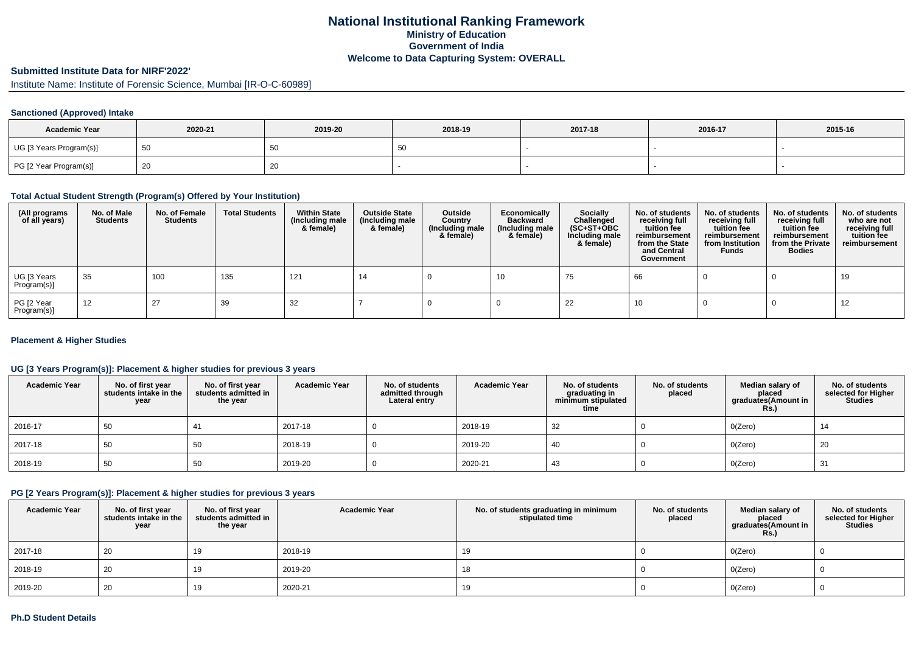# **National Institutional Ranking FrameworkMinistry of Education Government of IndiaWelcome to Data Capturing System: OVERALL**

#### **Submitted Institute Data for NIRF'2022'**

Institute Name: Institute of Forensic Science, Mumbai [IR-O-C-60989]

### **Sanctioned (Approved) Intake**

| <b>Academic Year</b>    | 2020-21 | 2019-20 | 2018-19  | 2017-18 | 2016-17 | 2015-16 |
|-------------------------|---------|---------|----------|---------|---------|---------|
| UG [3 Years Program(s)] |         | ບ∪      | 50<br>ັບ |         |         |         |
| PG [2 Year Program(s)]  |         | 20      |          |         |         |         |

#### **Total Actual Student Strength (Program(s) Offered by Your Institution)**

| (All programs<br>of all years) | No. of Male<br><b>Students</b> | No. of Female<br><b>Students</b> | <b>Total Students</b> | <b>Within State</b><br>(Including male<br>& female) | <b>Outside State</b><br>(Including male<br>& female) | Outside<br>Country<br>(Including male<br>& female) | Economically<br><b>Backward</b><br>(Including male<br>& female) | <b>Socially</b><br>Challenged<br>$(SC+ST+OBC)$<br>Including male<br>& female) | No. of students<br>receiving full<br>tuition fee<br>reimbursement<br>from the State<br>and Central<br>Government | No. of students<br>receiving full<br>tuition fee<br>reimbursement<br>from Institution<br><b>Funds</b> | No. of students<br>receiving full<br>tuition fee<br>reimbursement<br>from the Private<br><b>Bodies</b> | No. of students<br>who are not<br>receiving full<br>tuition fee<br>reimbursement |
|--------------------------------|--------------------------------|----------------------------------|-----------------------|-----------------------------------------------------|------------------------------------------------------|----------------------------------------------------|-----------------------------------------------------------------|-------------------------------------------------------------------------------|------------------------------------------------------------------------------------------------------------------|-------------------------------------------------------------------------------------------------------|--------------------------------------------------------------------------------------------------------|----------------------------------------------------------------------------------|
| UG [3 Years<br>Program(s)]     | 35                             | 100                              | 135                   | 121                                                 | 14                                                   |                                                    | 10                                                              | 75                                                                            | 66                                                                                                               |                                                                                                       |                                                                                                        | 19                                                                               |
| PG [2 Year<br>Program(s)]      | 12                             | 27                               | 39                    | 32                                                  |                                                      |                                                    |                                                                 | 22                                                                            | 10                                                                                                               |                                                                                                       |                                                                                                        | 12                                                                               |

#### **Placement & Higher Studies**

### **UG [3 Years Program(s)]: Placement & higher studies for previous 3 years**

| <b>Academic Year</b> | No. of first year<br>students intake in the<br>year | No. of first year<br>students admitted in<br>the year | <b>Academic Year</b> | No. of students<br>admitted through<br>Lateral entry | <b>Academic Year</b> | No. of students<br>graduating in<br>minimum stipulated<br>time | No. of students<br>placed | Median salary of<br>placed<br>graduates(Amount in<br><b>Rs.)</b> | No. of students<br>selected for Higher<br><b>Studies</b> |
|----------------------|-----------------------------------------------------|-------------------------------------------------------|----------------------|------------------------------------------------------|----------------------|----------------------------------------------------------------|---------------------------|------------------------------------------------------------------|----------------------------------------------------------|
| 2016-17              | 50                                                  |                                                       | 2017-18              |                                                      | 2018-19              | 32                                                             |                           | O(Zero)                                                          | 14                                                       |
| 2017-18              | 50                                                  | 50                                                    | 2018-19              |                                                      | 2019-20              | 40                                                             |                           | O(Zero)                                                          | 20                                                       |
| 2018-19              | 50                                                  | 50                                                    | 2019-20              |                                                      | 2020-21              | 43                                                             |                           | O(Zero)                                                          | 31                                                       |

### **PG [2 Years Program(s)]: Placement & higher studies for previous 3 years**

| <b>Academic Year</b> | No. of first year<br>students intake in the<br>year | No. of first year<br>students admitted in<br>the year | <b>Academic Year</b> | No. of students graduating in minimum<br>stipulated time | No. of students<br>placed | Median salary of<br>placed<br>graduates(Amount in<br><b>Rs.)</b> | No. of students<br>selected for Higher<br><b>Studies</b> |
|----------------------|-----------------------------------------------------|-------------------------------------------------------|----------------------|----------------------------------------------------------|---------------------------|------------------------------------------------------------------|----------------------------------------------------------|
| 2017-18              | 20                                                  | 19                                                    | 2018-19              | 19                                                       |                           | O(Zero)                                                          |                                                          |
| 2018-19              | 20                                                  | 19                                                    | 2019-20              | 18                                                       |                           | O(Zero)                                                          |                                                          |
| 2019-20              | 20                                                  | 19                                                    | 2020-21              | 19                                                       |                           | O(Zero)                                                          |                                                          |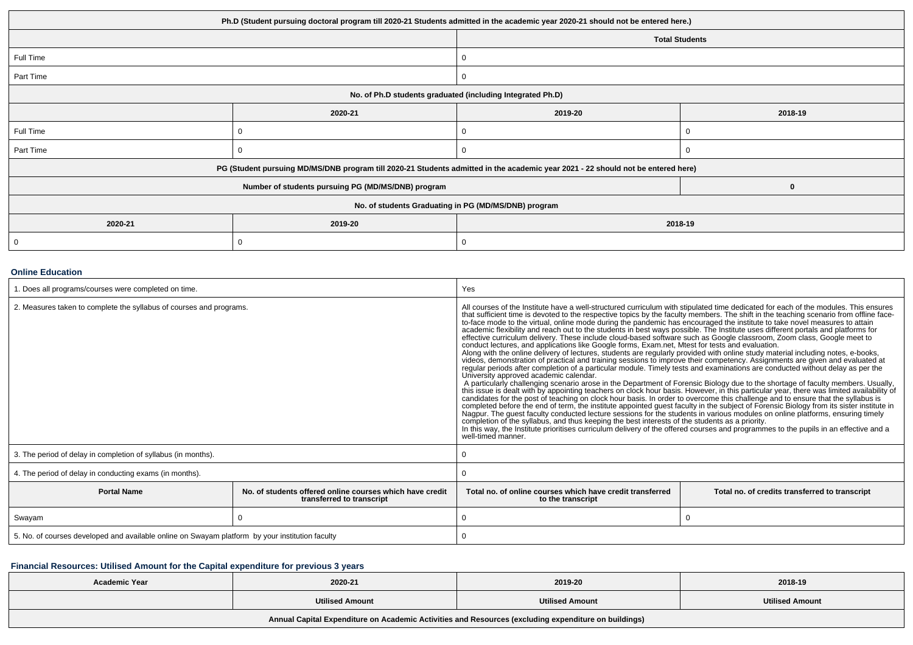| Ph.D (Student pursuing doctoral program till 2020-21 Students admitted in the academic year 2020-21 should not be entered here.) |                                                                                                                                  |                       |         |  |  |
|----------------------------------------------------------------------------------------------------------------------------------|----------------------------------------------------------------------------------------------------------------------------------|-----------------------|---------|--|--|
|                                                                                                                                  |                                                                                                                                  | <b>Total Students</b> |         |  |  |
| Full Time                                                                                                                        |                                                                                                                                  | 0                     |         |  |  |
| Part Time                                                                                                                        |                                                                                                                                  | 0                     |         |  |  |
| No. of Ph.D students graduated (including Integrated Ph.D)                                                                       |                                                                                                                                  |                       |         |  |  |
|                                                                                                                                  | 2020-21                                                                                                                          | 2019-20               | 2018-19 |  |  |
| Full Time                                                                                                                        |                                                                                                                                  |                       |         |  |  |
| Part Time                                                                                                                        |                                                                                                                                  |                       |         |  |  |
|                                                                                                                                  | PG (Student pursuing MD/MS/DNB program till 2020-21 Students admitted in the academic year 2021 - 22 should not be entered here) |                       |         |  |  |
|                                                                                                                                  | Number of students pursuing PG (MD/MS/DNB) program                                                                               |                       | 0       |  |  |
| No. of students Graduating in PG (MD/MS/DNB) program                                                                             |                                                                                                                                  |                       |         |  |  |
| 2020-21                                                                                                                          | 2019-20                                                                                                                          | 2018-19               |         |  |  |
|                                                                                                                                  |                                                                                                                                  | 0                     |         |  |  |

#### **Online Education**

| 1. Does all programs/courses were completed on time.                                            |                                                                                       | Yes                                                                                                                                                                                                                                                                                                                                                                                                                                                                                                                                                                                                                                                                                                                                                                                                                                                                                                                                                                                                                                                                                                                                                                                                                                                                                                                                                                                                                                                                                                                                                                                                                                                                                                                                                                                                                                                                                                                                                             |                                                |  |  |
|-------------------------------------------------------------------------------------------------|---------------------------------------------------------------------------------------|-----------------------------------------------------------------------------------------------------------------------------------------------------------------------------------------------------------------------------------------------------------------------------------------------------------------------------------------------------------------------------------------------------------------------------------------------------------------------------------------------------------------------------------------------------------------------------------------------------------------------------------------------------------------------------------------------------------------------------------------------------------------------------------------------------------------------------------------------------------------------------------------------------------------------------------------------------------------------------------------------------------------------------------------------------------------------------------------------------------------------------------------------------------------------------------------------------------------------------------------------------------------------------------------------------------------------------------------------------------------------------------------------------------------------------------------------------------------------------------------------------------------------------------------------------------------------------------------------------------------------------------------------------------------------------------------------------------------------------------------------------------------------------------------------------------------------------------------------------------------------------------------------------------------------------------------------------------------|------------------------------------------------|--|--|
| 2. Measures taken to complete the syllabus of courses and programs.                             |                                                                                       | All courses of the Institute have a well-structured curriculum with stipulated time dedicated for each of the modules. This ensures<br>that sufficient time is devoted to the respective topics by the faculty members. The shift in the teaching scenario from offline face-<br>to-face mode to the virtual, online mode during the pandemic has encouraged the institute to take novel measures to attain<br>academic flexibility and reach out to the students in best ways possible. The Institute uses different portals and platforms for<br>effective curriculum delivery. These include cloud-based software such as Google classroom, Zoom class, Google meet to conduct lectures, and applications like Google forms, Exam.net, Mtest for tests and evaluation.<br>Along with the online delivery of lectures, students are regularly provided with online study material including notes, e-books,<br>videos, demonstration of practical and training sessions to improve their competency. Assignments are given and evaluated at<br>regular periods after completion of a particular module. Timely tests and examinations are conducted without delay as per the<br>University approved academic calendar.<br>A particularly challenging scenario arose in the Department of Forensic Biology due to the shortage of faculty members. Usually, this issue is dealt with by appointing teachers on clock hour basis. However, in this particu<br>completed before the end of term, the institute appointed guest faculty in the subject of Forensic Biology from its sister institute in<br>Nagpur. The guest faculty conducted lecture sessions for the students in various modul<br>completion of the syllabus, and thus keeping the best interests of the students as a priority.<br>In this way, the Institute prioritises curriculum delivery of the offered courses and programmes to the pupils in an effective and a<br>well-timed manner. |                                                |  |  |
| 3. The period of delay in completion of syllabus (in months).                                   |                                                                                       |                                                                                                                                                                                                                                                                                                                                                                                                                                                                                                                                                                                                                                                                                                                                                                                                                                                                                                                                                                                                                                                                                                                                                                                                                                                                                                                                                                                                                                                                                                                                                                                                                                                                                                                                                                                                                                                                                                                                                                 |                                                |  |  |
| 4. The period of delay in conducting exams (in months).                                         |                                                                                       |                                                                                                                                                                                                                                                                                                                                                                                                                                                                                                                                                                                                                                                                                                                                                                                                                                                                                                                                                                                                                                                                                                                                                                                                                                                                                                                                                                                                                                                                                                                                                                                                                                                                                                                                                                                                                                                                                                                                                                 |                                                |  |  |
| <b>Portal Name</b>                                                                              | No. of students offered online courses which have credit<br>transferred to transcript | Total no. of online courses which have credit transferred<br>to the transcript                                                                                                                                                                                                                                                                                                                                                                                                                                                                                                                                                                                                                                                                                                                                                                                                                                                                                                                                                                                                                                                                                                                                                                                                                                                                                                                                                                                                                                                                                                                                                                                                                                                                                                                                                                                                                                                                                  | Total no. of credits transferred to transcript |  |  |
| Swayam                                                                                          |                                                                                       |                                                                                                                                                                                                                                                                                                                                                                                                                                                                                                                                                                                                                                                                                                                                                                                                                                                                                                                                                                                                                                                                                                                                                                                                                                                                                                                                                                                                                                                                                                                                                                                                                                                                                                                                                                                                                                                                                                                                                                 |                                                |  |  |
| 5. No. of courses developed and available online on Swayam platform by your institution faculty |                                                                                       |                                                                                                                                                                                                                                                                                                                                                                                                                                                                                                                                                                                                                                                                                                                                                                                                                                                                                                                                                                                                                                                                                                                                                                                                                                                                                                                                                                                                                                                                                                                                                                                                                                                                                                                                                                                                                                                                                                                                                                 |                                                |  |  |

# **Financial Resources: Utilised Amount for the Capital expenditure for previous 3 years**

| Academic Year                                                                                        | 2020-21                | 2019-20                | 2018-19                |  |  |  |
|------------------------------------------------------------------------------------------------------|------------------------|------------------------|------------------------|--|--|--|
|                                                                                                      | <b>Utilised Amount</b> | <b>Utilised Amount</b> | <b>Utilised Amount</b> |  |  |  |
| Annual Capital Expenditure on Academic Activities and Resources (excluding expenditure on buildings) |                        |                        |                        |  |  |  |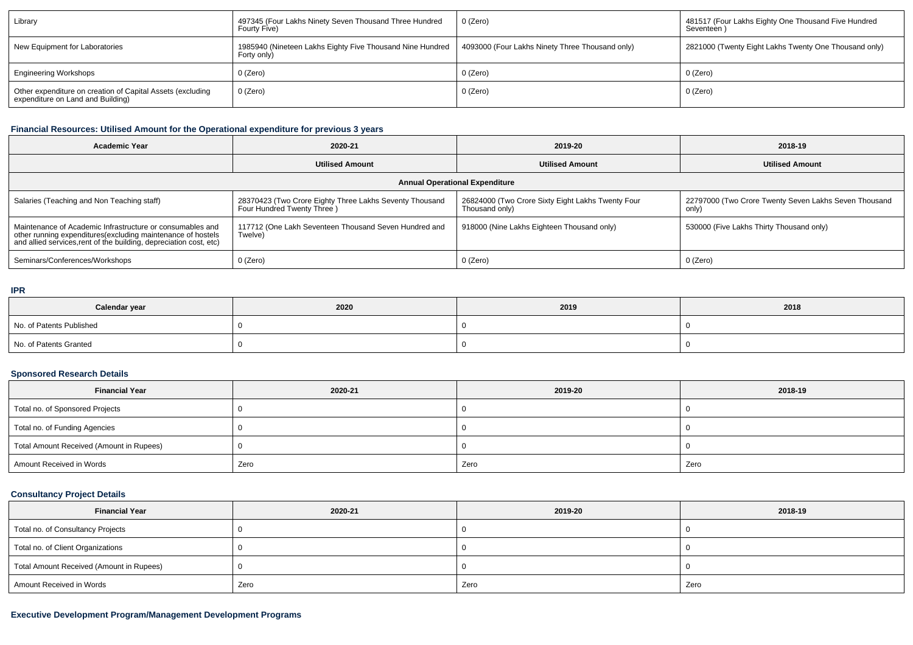| Library                                                                                         | 497345 (Four Lakhs Ninety Seven Thousand Three Hundred<br>Fourty Five)   | 0 (Zero)                                        | 481517 (Four Lakhs Eighty One Thousand Five Hundred<br>Seventeen |
|-------------------------------------------------------------------------------------------------|--------------------------------------------------------------------------|-------------------------------------------------|------------------------------------------------------------------|
| New Equipment for Laboratories                                                                  | 1985940 (Nineteen Lakhs Eighty Five Thousand Nine Hundred<br>Forty only) | 4093000 (Four Lakhs Ninety Three Thousand only) | 2821000 (Twenty Eight Lakhs Twenty One Thousand only)            |
| <b>Engineering Workshops</b>                                                                    | $0$ (Zero)                                                               | 0 (Zero)                                        | 0 (Zero)                                                         |
| Other expenditure on creation of Capital Assets (excluding<br>expenditure on Land and Building) | 0 (Zero)                                                                 | 0 (Zero)                                        | 0 (Zero)                                                         |

# **Financial Resources: Utilised Amount for the Operational expenditure for previous 3 years**

| <b>Academic Year</b>                                                                                                                                                                            | 2020-21                                                                               | 2019-20                                                             | 2018-19                                                        |  |  |  |  |
|-------------------------------------------------------------------------------------------------------------------------------------------------------------------------------------------------|---------------------------------------------------------------------------------------|---------------------------------------------------------------------|----------------------------------------------------------------|--|--|--|--|
|                                                                                                                                                                                                 | <b>Utilised Amount</b>                                                                | <b>Utilised Amount</b>                                              | <b>Utilised Amount</b>                                         |  |  |  |  |
| <b>Annual Operational Expenditure</b>                                                                                                                                                           |                                                                                       |                                                                     |                                                                |  |  |  |  |
| Salaries (Teaching and Non Teaching staff)                                                                                                                                                      | 28370423 (Two Crore Eighty Three Lakhs Seventy Thousand<br>Four Hundred Twenty Three) | 26824000 (Two Crore Sixty Eight Lakhs Twenty Four<br>Thousand only) | 22797000 (Two Crore Twenty Seven Lakhs Seven Thousand<br>only) |  |  |  |  |
| Maintenance of Academic Infrastructure or consumables and<br>other running expenditures (excluding maintenance of hostels<br>and allied services, rent of the building, depreciation cost, etc) | 117712 (One Lakh Seventeen Thousand Seven Hundred and<br>Twelve)                      | 918000 (Nine Lakhs Eighteen Thousand only)                          | 530000 (Five Lakhs Thirty Thousand only)                       |  |  |  |  |
| Seminars/Conferences/Workshops                                                                                                                                                                  | 0 (Zero)                                                                              | 0 (Zero)                                                            | 0 (Zero)                                                       |  |  |  |  |

#### **IPR**

| Calendar year            | 2020 | 2019 | 2018 |
|--------------------------|------|------|------|
| No. of Patents Published |      |      |      |
| No. of Patents Granted   |      |      |      |

# **Sponsored Research Details**

| <b>Financial Year</b>                    | 2020-21 | 2019-20 | 2018-19 |
|------------------------------------------|---------|---------|---------|
| Total no. of Sponsored Projects          |         |         |         |
| Total no. of Funding Agencies            |         |         |         |
| Total Amount Received (Amount in Rupees) |         |         |         |
| Amount Received in Words                 | Zero    | Zero    | Zero    |

# **Consultancy Project Details**

| <b>Financial Year</b>                    | 2020-21 | 2019-20 | 2018-19 |
|------------------------------------------|---------|---------|---------|
| Total no. of Consultancy Projects        |         |         |         |
| Total no. of Client Organizations        |         |         |         |
| Total Amount Received (Amount in Rupees) |         |         |         |
| Amount Received in Words                 | Zero    | Zero    | Zero    |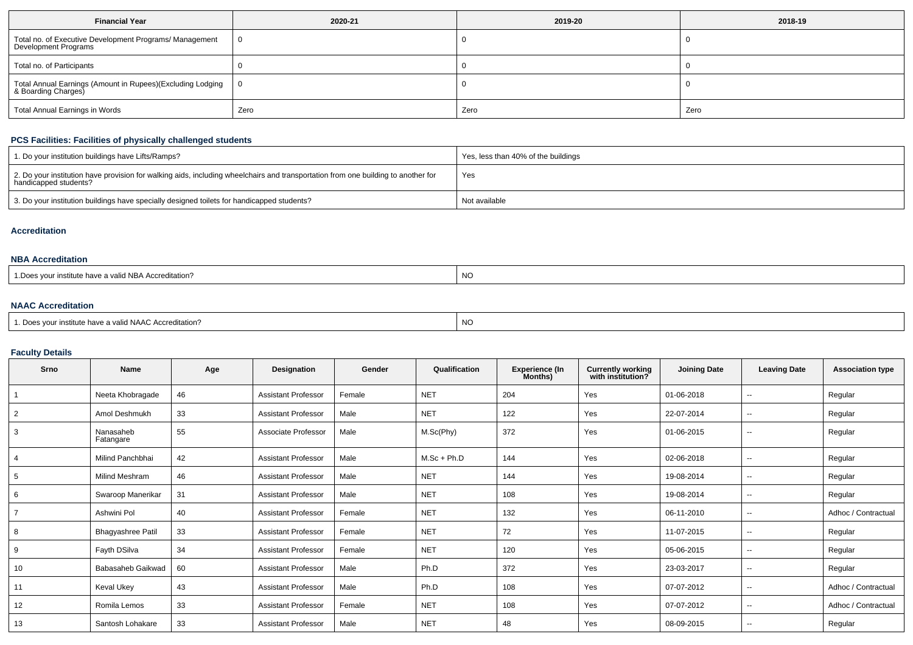| <b>Financial Year</b>                                                             | 2020-21 | 2019-20 | 2018-19 |  |
|-----------------------------------------------------------------------------------|---------|---------|---------|--|
| Total no. of Executive Development Programs/ Management<br>Development Programs   |         |         |         |  |
| Total no. of Participants                                                         |         |         |         |  |
| Total Annual Earnings (Amount in Rupees)(Excluding Lodging<br>& Boarding Charges) |         |         |         |  |
| <b>Total Annual Earnings in Words</b>                                             | Zero    | Zero    | Zero    |  |

### **PCS Facilities: Facilities of physically challenged students**

| 1. Do your institution buildings have Lifts/Ramps?                                                                                                         | Yes, less than 40% of the buildings |
|------------------------------------------------------------------------------------------------------------------------------------------------------------|-------------------------------------|
| 2. Do your institution have provision for walking aids, including wheelchairs and transportation from one building to another for<br>handicapped students? | Yes                                 |
| 3. Do your institution buildings have specially designed toilets for handicapped students?                                                                 | Not available                       |

#### **Accreditation**

### **NBA Accreditation**

| J NBA Accreditation?<br>∵ınstıtute<br>a vallu.<br>nave a v<br>טש. | <b>NO</b> |
|-------------------------------------------------------------------|-----------|
|                                                                   |           |

## **NAAC Accreditation**

| <sup>1</sup> Does your institute have a valid NAAC Accreditation? | <b>NC</b> |
|-------------------------------------------------------------------|-----------|
|                                                                   |           |

## **Faculty Details**

| Srno           | <b>Name</b>              | Age | Designation                | Gender | Qualification | <b>Experience (In</b><br>Months) | <b>Currently working</b><br>with institution? | <b>Joining Date</b> | <b>Leaving Date</b>      | <b>Association type</b> |
|----------------|--------------------------|-----|----------------------------|--------|---------------|----------------------------------|-----------------------------------------------|---------------------|--------------------------|-------------------------|
|                | Neeta Khobragade         | 46  | <b>Assistant Professor</b> | Female | <b>NET</b>    | 204                              | Yes                                           | 01-06-2018          | $\overline{\phantom{a}}$ | Regular                 |
| 2              | Amol Deshmukh            | 33  | <b>Assistant Professor</b> | Male   | <b>NET</b>    | 122                              | Yes                                           | 22-07-2014          | $\overline{\phantom{m}}$ | Regular                 |
| 3              | Nanasaheb<br>Fatangare   | 55  | Associate Professor        | Male   | M.Sc(Phy)     | 372                              | Yes                                           | 01-06-2015          | $\overline{\phantom{m}}$ | Regular                 |
| 4              | Milind Panchbhai         | 42  | <b>Assistant Professor</b> | Male   | $M.Sc + Ph.D$ | 144                              | Yes                                           | 02-06-2018          | $\overline{\phantom{m}}$ | Regular                 |
| 5              | <b>Milind Meshram</b>    | 46  | <b>Assistant Professor</b> | Male   | <b>NET</b>    | 144                              | Yes                                           | 19-08-2014          | $\overline{\phantom{m}}$ | Regular                 |
| 6              | Swaroop Manerikar        | 31  | <b>Assistant Professor</b> | Male   | <b>NET</b>    | 108                              | Yes                                           | 19-08-2014          | $\sim$                   | Regular                 |
| $\overline{7}$ | Ashwini Pol              | 40  | <b>Assistant Professor</b> | Female | <b>NET</b>    | 132                              | Yes                                           | 06-11-2010          | $\overline{\phantom{m}}$ | Adhoc / Contractual     |
| 8              | <b>Bhagyashree Patil</b> | 33  | <b>Assistant Professor</b> | Female | <b>NET</b>    | 72                               | Yes                                           | 11-07-2015          | $\overline{\phantom{m}}$ | Regular                 |
| 9              | Fayth DSilva             | 34  | <b>Assistant Professor</b> | Female | <b>NET</b>    | 120                              | Yes                                           | 05-06-2015          | $\overline{\phantom{a}}$ | Regular                 |
| 10             | Babasaheb Gaikwad        | 60  | <b>Assistant Professor</b> | Male   | Ph.D          | 372                              | Yes                                           | 23-03-2017          | $\overline{\phantom{m}}$ | Regular                 |
| 11             | Keval Ukey               | 43  | <b>Assistant Professor</b> | Male   | Ph.D          | 108                              | Yes                                           | 07-07-2012          | $\overline{\phantom{m}}$ | Adhoc / Contractual     |
| 12             | Romila Lemos             | 33  | <b>Assistant Professor</b> | Female | <b>NET</b>    | 108                              | Yes                                           | 07-07-2012          | $\overline{\phantom{m}}$ | Adhoc / Contractual     |
| 13             | Santosh Lohakare         | 33  | <b>Assistant Professor</b> | Male   | <b>NET</b>    | 48                               | Yes                                           | 08-09-2015          | $\overline{\phantom{m}}$ | Regular                 |